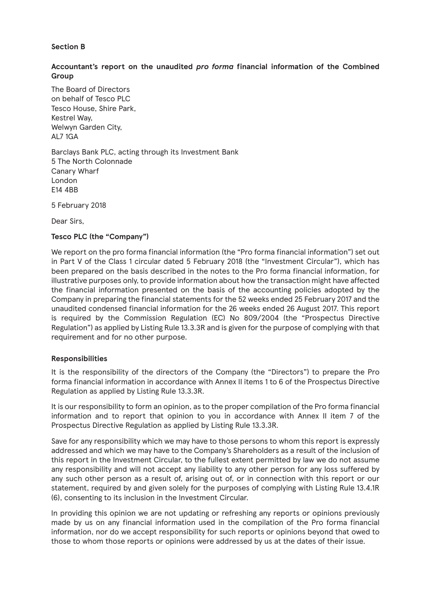# **Section B**

# **Accountant's report on the unaudited** *pro forma* **financial information of the Combined Group**

The Board of Directors on behalf of Tesco PLC Tesco House, Shire Park, Kestrel Way, Welwyn Garden City, AL7 1GA

Barclays Bank PLC, acting through its Investment Bank 5 The North Colonnade Canary Wharf London E14 4BB

5 February 2018

Dear Sirs,

## **Tesco PLC (the "Company")**

We report on the pro forma financial information (the "Pro forma financial information") set out in Part V of the Class 1 circular dated 5 February 2018 (the "Investment Circular"), which has been prepared on the basis described in the notes to the Pro forma financial information, for illustrative purposes only, to provide information about how the transaction might have affected the financial information presented on the basis of the accounting policies adopted by the Company in preparing the financial statements for the 52 weeks ended 25 February 2017 and the unaudited condensed financial information for the 26 weeks ended 26 August 2017. This report is required by the Commission Regulation (EC) No 809/2004 (the "Prospectus Directive Regulation") as applied by Listing Rule 13.3.3R and is given for the purpose of complying with that requirement and for no other purpose.

#### **Responsibilities**

It is the responsibility of the directors of the Company (the "Directors") to prepare the Pro forma financial information in accordance with Annex II items 1 to 6 of the Prospectus Directive Regulation as applied by Listing Rule 13.3.3R.

It is our responsibility to form an opinion, as to the proper compilation of the Pro forma financial information and to report that opinion to you in accordance with Annex II item 7 of the Prospectus Directive Regulation as applied by Listing Rule 13.3.3R.

Save for any responsibility which we may have to those persons to whom this report is expressly addressed and which we may have to the Company's Shareholders as a result of the inclusion of this report in the Investment Circular, to the fullest extent permitted by law we do not assume any responsibility and will not accept any liability to any other person for any loss suffered by any such other person as a result of, arising out of, or in connection with this report or our statement, required by and given solely for the purposes of complying with Listing Rule 13.4.1R (6), consenting to its inclusion in the Investment Circular.

In providing this opinion we are not updating or refreshing any reports or opinions previously made by us on any financial information used in the compilation of the Pro forma financial information, nor do we accept responsibility for such reports or opinions beyond that owed to those to whom those reports or opinions were addressed by us at the dates of their issue.